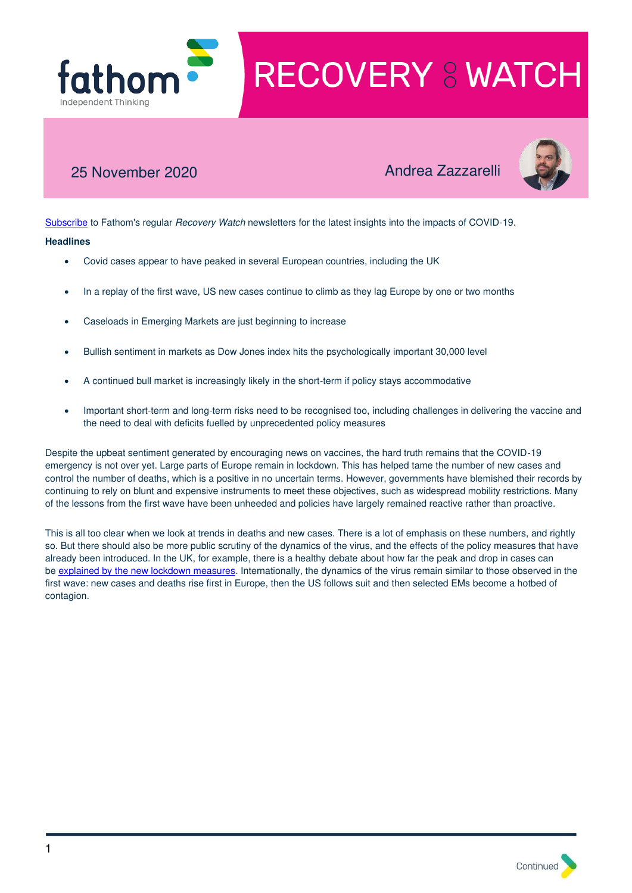

# 25 November 2020 Andrea Zazzarelli



[Subscribe](http://r20.rs6.net/tn.jsp?f=001Y8d7mXfRBy0_tt9ObLajdZU8AZABS9BHYQEDh7YpCRj0dn78RrOoAivsUqksccSYZHk1FvsMgQwsi4064oK_ffkLkA_uLNbZhr5J6cWsAn81MrIQmI-KLZfAGfF77227kqca_7xaaztiKm67V3msLVQ6OQEAeuwX3OqVtf3cm94aYvKb57ok7tm7Waup4AiUMnBOX5hKdbjfFbSbF9qs6UnZyegNU_iz&c=c_27EmxyeocbDZ43bHzvRHVSxtcXDhGAKan9nQEKg6msrfm3Wp0IFw==&ch=A7R9ugbXtheKpB2hUbgzZ5G8wxKXLDdKsJ66eAdyBCa6pim0kBAAjA==) to Fathom's regular Recovery Watch newsletters for the latest insights into the impacts of COVID-19.

## **Headlines**

- Covid cases appear to have peaked in several European countries, including the UK
- In a replay of the first wave, US new cases continue to climb as they lag Europe by one or two months
- Caseloads in Emerging Markets are just beginning to increase
- Bullish sentiment in markets as Dow Jones index hits the psychologically important 30,000 level
- A continued bull market is increasingly likely in the short-term if policy stays accommodative
- Important short-term and long-term risks need to be recognised too, including challenges in delivering the vaccine and the need to deal with deficits fuelled by unprecedented policy measures

Despite the upbeat sentiment generated by encouraging news on vaccines, the hard truth remains that the COVID-19 emergency is not over yet. Large parts of Europe remain in lockdown. This has helped tame the number of new cases and control the number of deaths, which is a positive in no uncertain terms. However, governments have blemished their records by continuing to rely on blunt and expensive instruments to meet these objectives, such as widespread mobility restrictions. Many of the lessons from the first wave have been unheeded and policies have largely remained reactive rather than proactive.

This is all too clear when we look at trends in deaths and new cases. There is a lot of emphasis on these numbers, and rightly so. But there should also be more public scrutiny of the dynamics of the virus, and the effects of the policy measures that have already been introduced. In the UK, for example, there is a healthy debate about how far the peak and drop in cases can be [explained by the new lockdown measures.](https://covid.joinzoe.com/post/did-lockdown-2-0-work-heres-whats-going-on-with-covid-19-across-the-country) Internationally, the dynamics of the virus remain similar to those observed in the first wave: new cases and deaths rise first in Europe, then the US follows suit and then selected EMs become a hotbed of contagion.

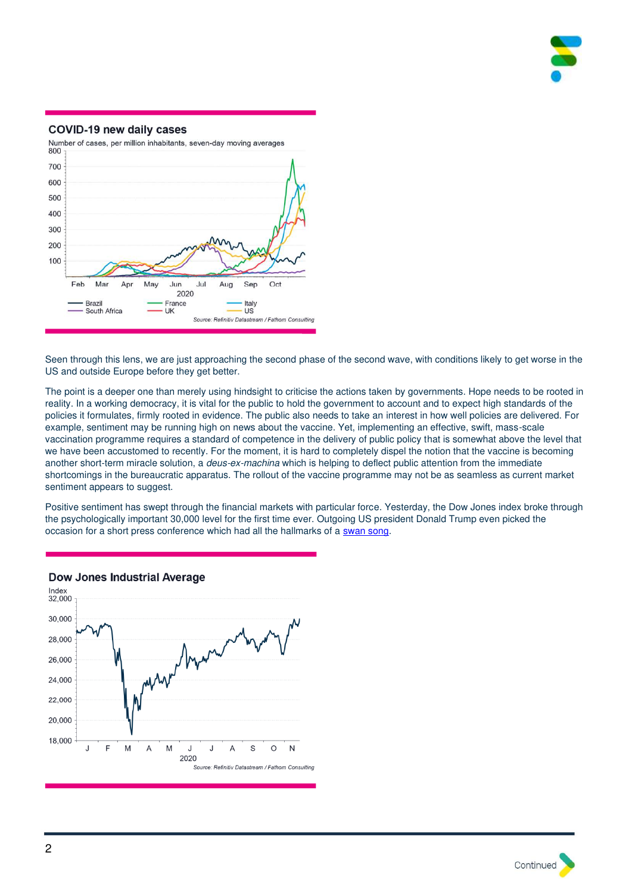

#### COVID-19 new daily cases



Seen through this lens, we are just approaching the second phase of the second wave, with conditions likely to get worse in the US and outside Europe before they get better.

The point is a deeper one than merely using hindsight to criticise the actions taken by governments. Hope needs to be rooted in reality. In a working democracy, it is vital for the public to hold the government to account and to expect high standards of the policies it formulates, firmly rooted in evidence. The public also needs to take an interest in how well policies are delivered. For example, sentiment may be running high on news about the vaccine. Yet, implementing an effective, swift, mass-scale vaccination programme requires a standard of competence in the delivery of public policy that is somewhat above the level that we have been accustomed to recently. For the moment, it is hard to completely dispel the notion that the vaccine is becoming another short-term miracle solution, a *deus-ex-machina* which is helping to deflect public attention from the immediate shortcomings in the bureaucratic apparatus. The rollout of the vaccine programme may not be as seamless as current market sentiment appears to suggest.

Positive sentiment has swept through the financial markets with particular force. Yesterday, the Dow Jones index broke through the psychologically important 30,000 level for the first time ever. Outgoing US president Donald Trump even picked the occasion for a short press conference which had all the hallmarks of a [swan song.](https://www.cnbc.com/2020/11/24/trump-brags-about-dow-30000-at-surprise-press-conference-leaves-after-a-minute.html)



# **Dow Jones Industrial Average**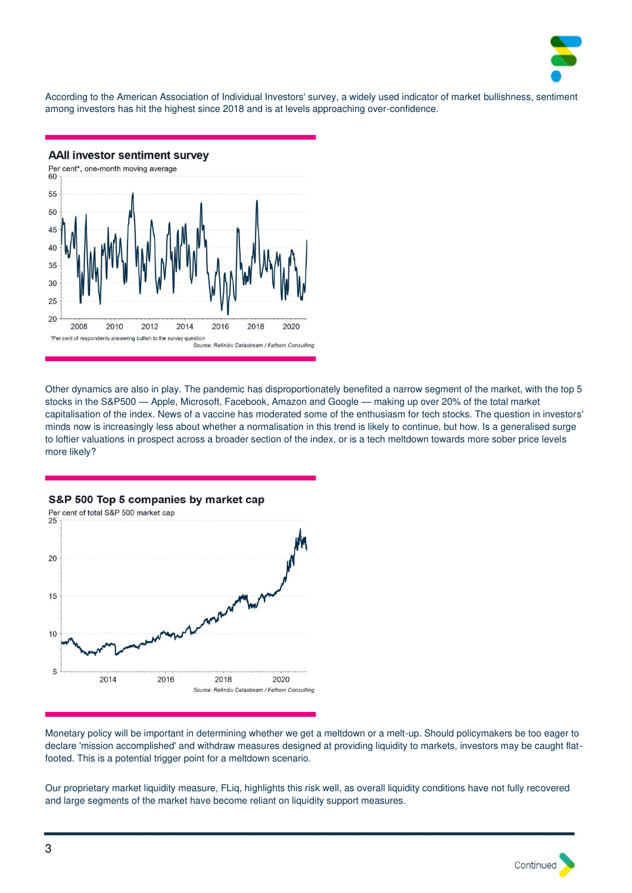

According to the American Association of Individual Investors' survey, a widely used indicator of market bullishness, sentiment among investors has hit the highest since 2018 and is at levels approaching over-confidence.

**AAII investor sentiment survey** 



Other dynamics are also in play. The pandemic has disproportionately benefited a narrow segment of the market, with the top 5 stocks in the S&P500 — Apple, Microsoft, Facebook, Amazon and Google — making up over 20% of the total market capitalisation of the index. News of a vaccine has moderated some of the enthusiasm for tech stocks. The question in investors' minds now is increasingly less about whether a normalisation in this trend is likely to continue, but how. Is a generalised surge to loftier valuations in prospect across a broader section of the index, or is a tech meltdown towards more sober price levels more likely?

Per cent of total S&P 500 market cap  $25$ 20 15  $10$ 5 2014 2016 2018 2020 Source: Refinitiv Datastream / Fathom Consulting

S&P 500 Top 5 companies by market cap

Monetary policy will be important in determining whether we get a meltdown or a melt-up. Should policymakers be too eager to declare 'mission accomplished' and withdraw measures designed at providing liquidity to markets, investors may be caught flatfooted. This is a potential trigger point for a meltdown scenario.

Our proprietary market liquidity measure, FLiq, highlights this risk well, as overall liquidity conditions have not fully recovered and large segments of the market have become reliant on liquidity support measures.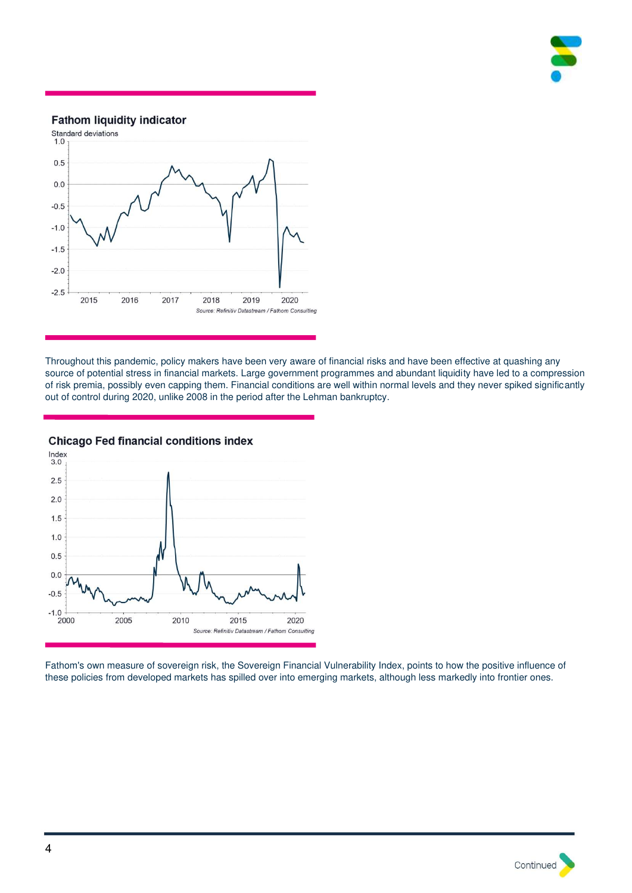

## **Fathom liquidity indicator**



Throughout this pandemic, policy makers have been very aware of financial risks and have been effective at quashing any source of potential stress in financial markets. Large government programmes and abundant liquidity have led to a compression of risk premia, possibly even capping them. Financial conditions are well within normal levels and they never spiked significantly out of control during 2020, unlike 2008 in the period after the Lehman bankruptcy.



**Chicago Fed financial conditions index** 

Fathom's own measure of sovereign risk, the Sovereign Financial Vulnerability Index, points to how the positive influence of these policies from developed markets has spilled over into emerging markets, although less markedly into frontier ones.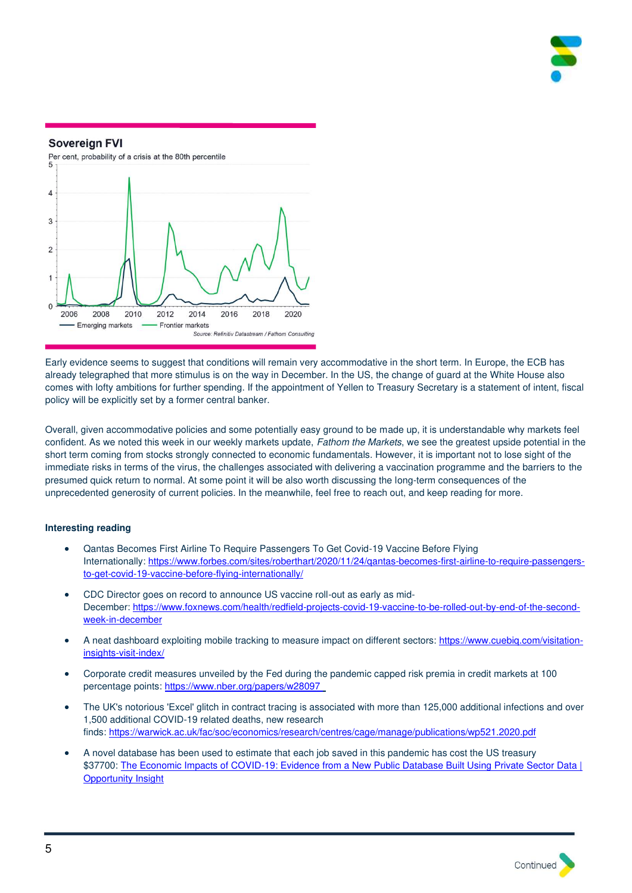



Early evidence seems to suggest that conditions will remain very accommodative in the short term. In Europe, the ECB has already telegraphed that more stimulus is on the way in December. In the US, the change of guard at the White House also comes with lofty ambitions for further spending. If the appointment of Yellen to Treasury Secretary is a statement of intent, fiscal policy will be explicitly set by a former central banker.

Overall, given accommodative policies and some potentially easy ground to be made up, it is understandable why markets feel confident. As we noted this week in our weekly markets update, Fathom the Markets, we see the greatest upside potential in the short term coming from stocks strongly connected to economic fundamentals. However, it is important not to lose sight of the immediate risks in terms of the virus, the challenges associated with delivering a vaccination programme and the barriers to the presumed quick return to normal. At some point it will be also worth discussing the long-term consequences of the unprecedented generosity of current policies. In the meanwhile, feel free to reach out, and keep reading for more.

#### **Interesting reading**

- Qantas Becomes First Airline To Require Passengers To Get Covid-19 Vaccine Before Flying Internationally[: https://www.forbes.com/sites/roberthart/2020/11/24/qantas-becomes-first-airline-to-require-passengers](https://www.forbes.com/sites/roberthart/2020/11/24/qantas-becomes-first-airline-to-require-passengers-to-get-covid-19-vaccine-before-flying-internationally/?sh=51637fa23df2)[to-get-covid-19-vaccine-before-flying-internationally/](https://www.forbes.com/sites/roberthart/2020/11/24/qantas-becomes-first-airline-to-require-passengers-to-get-covid-19-vaccine-before-flying-internationally/?sh=51637fa23df2)
- CDC Director goes on record to announce US vaccine roll-out as early as mid-December: [https://www.foxnews.com/health/redfield-projects-covid-19-vaccine-to-be-rolled-out-by-end-of-the-second](https://www.foxnews.com/health/redfield-projects-covid-19-vaccine-to-be-rolled-out-by-end-of-the-second-week-in-december)[week-in-december](https://www.foxnews.com/health/redfield-projects-covid-19-vaccine-to-be-rolled-out-by-end-of-the-second-week-in-december)
- A neat dashboard exploiting mobile tracking to measure impact on different sectors[: https://www.cuebiq.com/visitation](https://www.cuebiq.com/visitation-insights-visit-index/)[insights-visit-index/](https://www.cuebiq.com/visitation-insights-visit-index/)
- Corporate credit measures unveiled by the Fed during the pandemic capped risk premia in credit markets at 100 percentage points: https://www.nber.org/papers/w28097
- The UK's notorious 'Excel' glitch in contract tracing is associated with more than 125,000 additional infections and over 1,500 additional COVID-19 related deaths, new research finds[: https://warwick.ac.uk/fac/soc/economics/research/centres/cage/manage/publications/wp521.2020.pdf](https://warwick.ac.uk/fac/soc/economics/research/centres/cage/manage/publications/wp521.2020.pdf)
- A novel database has been used to estimate that each job saved in this pandemic has cost the US treasury \$37700: The Economic Impacts of COVID-19: Evidence from a New Public Database Built Using Private Sector Data | [Opportunity Insight](https://opportunityinsights.org/paper/tracker/)